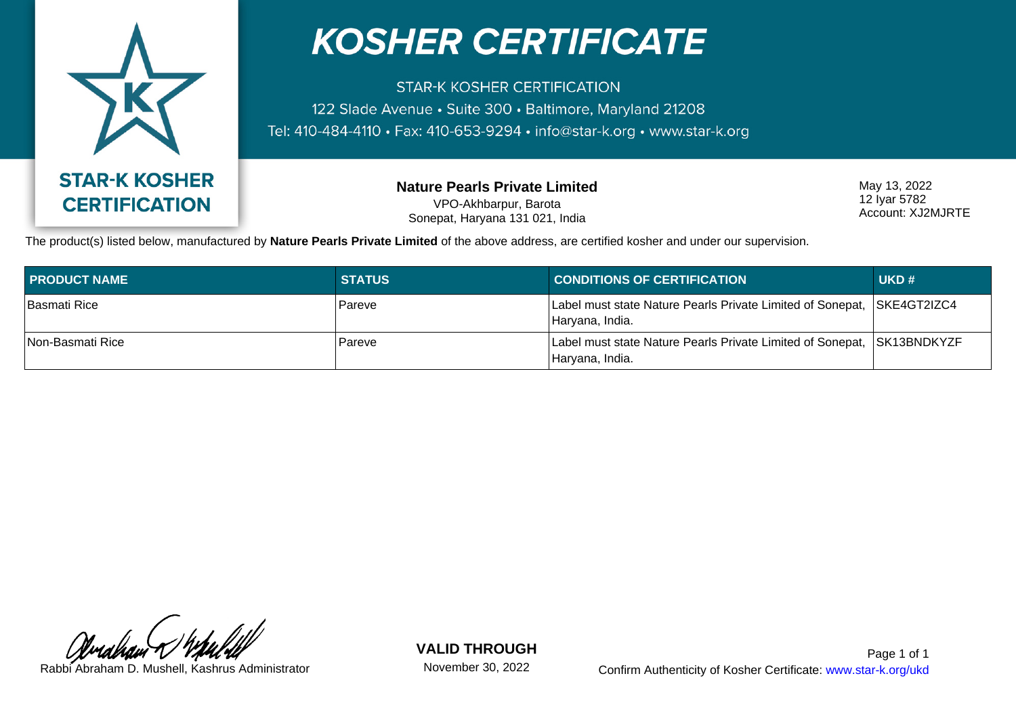

## **KOSHER CERTIFICATE**

**STAR-K KOSHER CERTIFICATION** 122 Slade Avenue · Suite 300 · Baltimore, Maryland 21208 Tel: 410-484-4110 • Fax: 410-653-9294 • info@star-k.org • www.star-k.org

> **Nature Pearls Private Limited** VPO-Akhbarpur, Barota Sonepat, Haryana 131 021, India

May 13, 2022 12 Iyar 5782 Account: XJ2MJRTE

The product(s) listed below, manufactured by **Nature Pearls Private Limited** of the above address, are certified kosher and under our supervision.

| <b>PRODUCT NAME</b> | <b>STATUS</b> | <b>CONDITIONS OF CERTIFICATION</b>                                                         | UKD# |
|---------------------|---------------|--------------------------------------------------------------------------------------------|------|
| <b>Basmati Rice</b> | Pareve        | Label must state Nature Pearls Private Limited of Sonepat,  SKE4GT2IZC4<br>Haryana, India. |      |
| Non-Basmati Rice    | Pareve        | Label must state Nature Pearls Private Limited of Sonepat, SK13BNDKYZF<br>Haryana, India.  |      |

**VALID THROUGH**

November 30, 2022